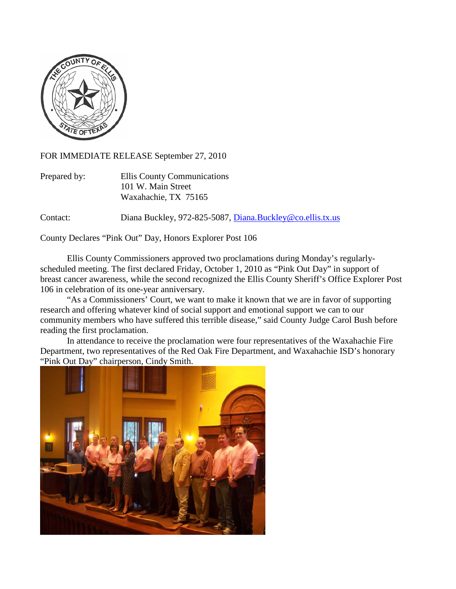

FOR IMMEDIATE RELEASE September 27, 2010

| Prepared by: | Ellis County Communications |
|--------------|-----------------------------|
|              | 101 W. Main Street          |
|              | Waxahachie, TX 75165        |

Contact: Diana Buckley, 972-825-5087, [Diana.Buckley@co.ellis.tx.us](mailto:Diana.Buckley@co.ellis.tx.us)

County Declares "Pink Out" Day, Honors Explorer Post 106

Ellis County Commissioners approved two proclamations during Monday's regularlyscheduled meeting. The first declared Friday, October 1, 2010 as "Pink Out Day" in support of breast cancer awareness, while the second recognized the Ellis County Sheriff's Office Explorer Post 106 in celebration of its one-year anniversary.

"As a Commissioners' Court, we want to make it known that we are in favor of supporting research and offering whatever kind of social support and emotional support we can to our community members who have suffered this terrible disease," said County Judge Carol Bush before reading the first proclamation.

In attendance to receive the proclamation were four representatives of the Waxahachie Fire Department, two representatives of the Red Oak Fire Department, and Waxahachie ISD's honorary "Pink Out Day" chairperson, Cindy Smith.

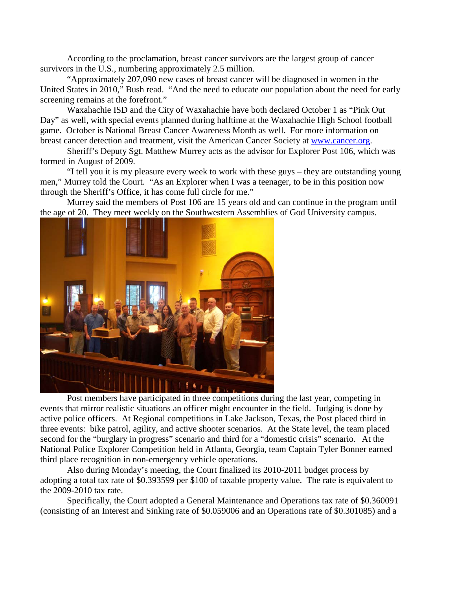According to the proclamation, breast cancer survivors are the largest group of cancer survivors in the U.S., numbering approximately 2.5 million.

"Approximately 207,090 new cases of breast cancer will be diagnosed in women in the United States in 2010," Bush read. "And the need to educate our population about the need for early screening remains at the forefront."

Waxahachie ISD and the City of Waxahachie have both declared October 1 as "Pink Out Day" as well, with special events planned during halftime at the Waxahachie High School football game. October is National Breast Cancer Awareness Month as well. For more information on breast cancer detection and treatment, visit the American Cancer Society at [www.cancer.org.](http://www.cancer.org/)

Sheriff's Deputy Sgt. Matthew Murrey acts as the advisor for Explorer Post 106, which was formed in August of 2009.

"I tell you it is my pleasure every week to work with these guys – they are outstanding young men," Murrey told the Court. "As an Explorer when I was a teenager, to be in this position now through the Sheriff's Office, it has come full circle for me."

Murrey said the members of Post 106 are 15 years old and can continue in the program until the age of 20. They meet weekly on the Southwestern Assemblies of God University campus.



Post members have participated in three competitions during the last year, competing in events that mirror realistic situations an officer might encounter in the field. Judging is done by active police officers. At Regional competitions in Lake Jackson, Texas, the Post placed third in three events: bike patrol, agility, and active shooter scenarios. At the State level, the team placed second for the "burglary in progress" scenario and third for a "domestic crisis" scenario. At the National Police Explorer Competition held in Atlanta, Georgia, team Captain Tyler Bonner earned third place recognition in non-emergency vehicle operations.

Also during Monday's meeting, the Court finalized its 2010-2011 budget process by adopting a total tax rate of \$0.393599 per \$100 of taxable property value. The rate is equivalent to the 2009-2010 tax rate.

Specifically, the Court adopted a General Maintenance and Operations tax rate of \$0.360091 (consisting of an Interest and Sinking rate of \$0.059006 and an Operations rate of \$0.301085) and a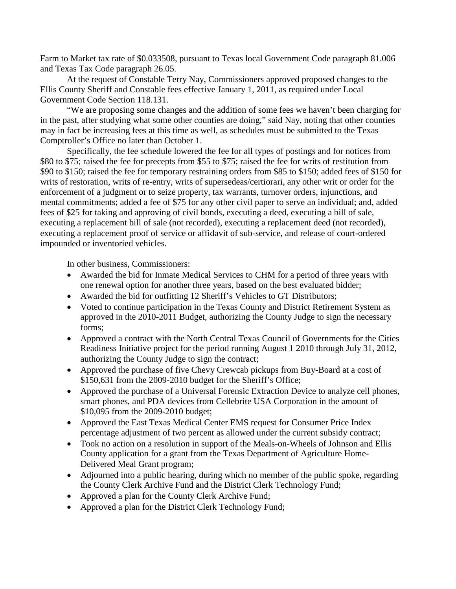Farm to Market tax rate of \$0.033508, pursuant to Texas local Government Code paragraph 81.006 and Texas Tax Code paragraph 26.05.

At the request of Constable Terry Nay, Commissioners approved proposed changes to the Ellis County Sheriff and Constable fees effective January 1, 2011, as required under Local Government Code Section 118.131.

"We are proposing some changes and the addition of some fees we haven't been charging for in the past, after studying what some other counties are doing," said Nay, noting that other counties may in fact be increasing fees at this time as well, as schedules must be submitted to the Texas Comptroller's Office no later than October 1.

Specifically, the fee schedule lowered the fee for all types of postings and for notices from \$80 to \$75; raised the fee for precepts from \$55 to \$75; raised the fee for writs of restitution from \$90 to \$150; raised the fee for temporary restraining orders from \$85 to \$150; added fees of \$150 for writs of restoration, writs of re-entry, writs of supersedeas/certiorari, any other writ or order for the enforcement of a judgment or to seize property, tax warrants, turnover orders, injunctions, and mental commitments; added a fee of \$75 for any other civil paper to serve an individual; and, added fees of \$25 for taking and approving of civil bonds, executing a deed, executing a bill of sale, executing a replacement bill of sale (not recorded), executing a replacement deed (not recorded), executing a replacement proof of service or affidavit of sub-service, and release of court-ordered impounded or inventoried vehicles.

In other business, Commissioners:

- Awarded the bid for Inmate Medical Services to CHM for a period of three years with one renewal option for another three years, based on the best evaluated bidder;
- Awarded the bid for outfitting 12 Sheriff's Vehicles to GT Distributors;
- Voted to continue participation in the Texas County and District Retirement System as approved in the 2010-2011 Budget, authorizing the County Judge to sign the necessary forms;
- Approved a contract with the North Central Texas Council of Governments for the Cities Readiness Initiative project for the period running August 1 2010 through July 31, 2012, authorizing the County Judge to sign the contract;
- Approved the purchase of five Chevy Crewcab pickups from Buy-Board at a cost of \$150,631 from the 2009-2010 budget for the Sheriff's Office;
- Approved the purchase of a Universal Forensic Extraction Device to analyze cell phones, smart phones, and PDA devices from Cellebrite USA Corporation in the amount of \$10,095 from the 2009-2010 budget;
- Approved the East Texas Medical Center EMS request for Consumer Price Index percentage adjustment of two percent as allowed under the current subsidy contract;
- Took no action on a resolution in support of the Meals-on-Wheels of Johnson and Ellis County application for a grant from the Texas Department of Agriculture Home-Delivered Meal Grant program;
- Adjourned into a public hearing, during which no member of the public spoke, regarding the County Clerk Archive Fund and the District Clerk Technology Fund;
- Approved a plan for the County Clerk Archive Fund;
- Approved a plan for the District Clerk Technology Fund;